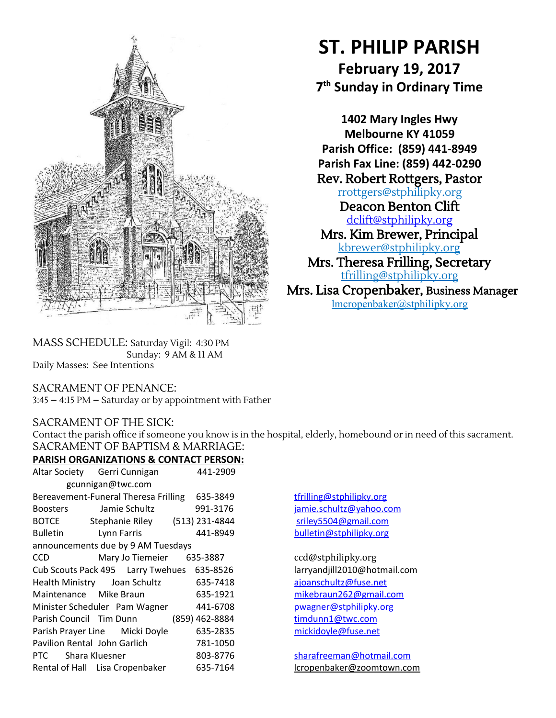

# **ST. PHILIP PARISH**

**February 19, 2017 7 th Sunday in Ordinary Time**

**1402 Mary Ingles Hwy Melbourne KY 41059 Parish Office: (859) 441-8949 Parish Fax Line: (859) 442-0290** Rev. Robert Rottgers, Pastor [rrottgers@stphilipky.org](mailto:rrottgers@stphilipky.org) Deacon Benton Clift [dclift@stphilipky.org](mailto:dclift@stphilipky.org) Mrs. Kim Brewer, Principal [kbrewer@stphilipky.org](mailto:kbrewer@stphilipky.org) Mrs. Theresa Frilling, Secretary [tfrilling@stphilipky.org](mailto:tfrilling@stphilipky.org)

Mrs. Lisa Cropenbaker, Business Manager lmcropenbaker@stphilipky.org

MASS SCHEDULE: Saturday Vigil: 4:30 PM Sunday: 9 AM & 11 AM Daily Masses: See Intentions

## SACRAMENT OF PENANCE:

3:45 – 4:15 PM – Saturday or by appointment with Father

# SACRAMENT OF THE SICK:

Contact the parish office if someone you know is in the hospital, elderly, homebound or in need of this sacrament. SACRAMENT OF BAPTISM & MARRIAGE:

# **PARISH ORGANIZATIONS & CONTACT PERSON:**

|                                    | Altar Society Gerri Cunnigan                   | 441-2909       |  |
|------------------------------------|------------------------------------------------|----------------|--|
| gcunnigan@twc.com                  |                                                |                |  |
|                                    | Bereavement-Funeral Theresa Frilling           | 635-3849       |  |
| <b>Boosters</b>                    | Jamie Schultz                                  | 991-3176       |  |
| <b>BOTCE</b>                       | Stephanie Riley                                | (513) 231-4844 |  |
| <b>Bulletin</b>                    | Lynn Farris                                    | 441-8949       |  |
| announcements due by 9 AM Tuesdays |                                                |                |  |
| <b>CCD</b>                         | Mary Jo Tiemeier 635-3887                      |                |  |
|                                    | Cub Scouts Pack 495   Larry Twehues   635-8526 |                |  |
|                                    | Health Ministry Joan Schultz                   | 635-7418       |  |
| Maintenance Mike Braun             |                                                | 635-1921       |  |
|                                    | Minister Scheduler Pam Wagner                  | 441-6708       |  |
|                                    | Parish Council Tim Dunn                        | (859) 462-8884 |  |
|                                    | Parish Prayer Line Micki Doyle                 | 635-2835       |  |
| Pavilion Rental John Garlich       |                                                | 781-1050       |  |
| PTC Shara Kluesner                 |                                                | 803-8776       |  |
|                                    | Rental of Hall Lisa Cropenbaker                | 635-7164       |  |

[tfrilling@stphilipky.org](mailto:tfrilling@stphilipky.org) [jamie.schultz@yahoo.com](mailto:jamie.schultz@yahoo.com) sriley 5504@gmail.com [bulletin@stphilipky.org](mailto:bulletin@stphilipky.org)

ccd@stphilipky.org larry and jill 2010@hotmail.com ajoan schultz@fuse.net mike braun 262@gmail.com [pwagner@stphilipky.org](mailto:pwagner@stphilipky.org) tim dunn1@twc.com [mickidoyle@fuse.net](mailto:mickidoyle@fuse.net)

[sharafreeman@hotmail.com](mailto:spicerdanielle@yahoo.com) lcropenbaker@zoomtown.com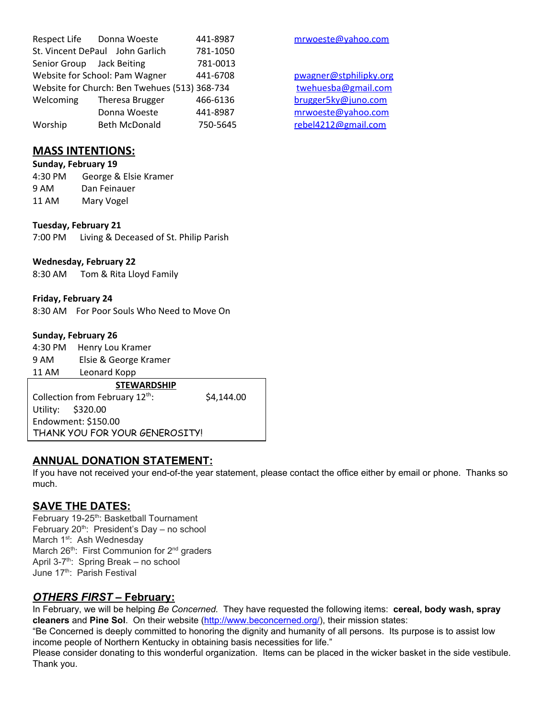|                                               | Respect Life Donna Woeste       | 441-8987 |  |
|-----------------------------------------------|---------------------------------|----------|--|
|                                               | St. Vincent DePaul John Garlich | 781-1050 |  |
| Senior Group Jack Beiting                     |                                 | 781-0013 |  |
|                                               | Website for School: Pam Wagner  | 441-6708 |  |
| Website for Church: Ben Twehues (513) 368-734 |                                 |          |  |
| Welcoming                                     | Theresa Brugger                 | 466-6136 |  |
|                                               | Donna Woeste                    | 441-8987 |  |
| Worship                                       | <b>Beth McDonald</b>            | 750-5645 |  |

# **MASS INTENTIONS:**

**Sunday, February 19** 4:30 PM George & Elsie Kramer Dan Feinauer 11 AM Mary Vogel

**Tuesday, February 21** 7:00 PM Living & Deceased of St. Philip Parish

#### **Wednesday, February 22**

8:30 AM Tom & Rita Lloyd Family

**Friday, February 24**

8:30 AM For Poor Souls Who Need to Move On

#### **Sunday, February 26**

4:30 PM Henry Lou Kramer<br>9 AM Flsie & George Kra Elsie & George Kramer 11 AM Leonard Kopp

**STEWARDSHIP** Collection from February 12<sup>th</sup>

: \$4,144.00

Utility: \$320.00 Endowment: \$150.00 THANK YOU FOR YOUR GENEROSITY!

## **ANNUAL DONATION STATEMENT:**

If you have not received your end-of-the year statement, please contact the office either by email or phone. Thanks so much.

#### **SAVE THE DATES:**

February 19-25<sup>th</sup>: Basketball Tournament February 20<sup>th</sup>: President's Day - no school March 1<sup>st</sup>: Ash Wednesday March 26<sup>th</sup>: First Communion for 2<sup>nd</sup> graders April 3-7<sup>th</sup>: Spring Break – no school June 17<sup>th</sup>: Parish Festival

## *OTHERS FIRST –* **February:**

In February, we will be helping *Be Concerned.* They have requested the following items: **cereal, body wash, spray cleaners** and **Pine Sol**. On their website [\(http://www.beconcerned.org/](http://www.beconcerned.org/)), their mission states:

"Be Concerned is deeply committed to honoring the dignity and humanity of all persons. Its purpose is to assist low income people of Northern Kentucky in obtaining basis necessities for life."

Please consider donating to this wonderful organization. Items can be placed in the wicker basket in the side vestibule. Thank you.

[mrwoeste@yahoo.com](mailto:mrwoeste@yahoo.com)

[pwagner@stphilipky.org](mailto:pwagner@stphilipky.org) [twehuesba@gmail.com](mailto:twehuesba@gmail.com) brugger 5ky@juno.com [mrwoeste@yahoo.com](mailto:mrwoeste@yahoo.com) [rebel4212@gmail.com](mailto:trebel4212@gmail.com)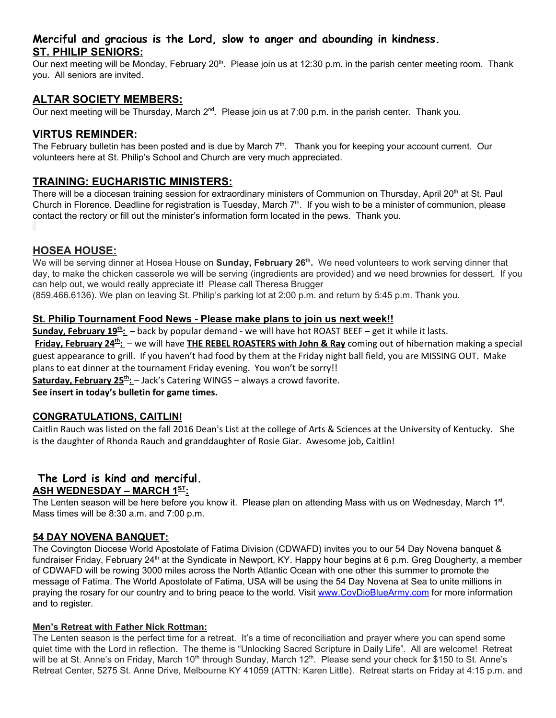## **Merciful and gracious is the Lord, slow to anger and abounding in kindness. ST. PHILIP SENIORS:**

Our next meeting will be Monday, February 20<sup>th</sup>. Please join us at 12:30 p.m. in the parish center meeting room. Thank you. All seniors are invited.

## **ALTAR SOCIETY MEMBERS:**

Our next meeting will be Thursday, March 2<sup>nd</sup>. Please join us at 7:00 p.m. in the parish center. Thank you.

## **VIRTUS REMINDER:**

The February bulletin has been posted and is due by March 7<sup>th</sup>. Thank you for keeping your account current. Our volunteers here at St. Philip's School and Church are very much appreciated.

## **TRAINING: EUCHARISTIC MINISTERS:**

There will be a diocesan training session for extraordinary ministers of Communion on Thursday, April 20<sup>th</sup> at St. Paul Church in Florence. Deadline for registration is Tuesday, March  $7<sup>th</sup>$ . If you wish to be a minister of communion, please contact the rectory or fill out the minister's information form located in the pews. Thank you.

## **HOSEA HOUSE:**

We will be serving dinner at Hosea House on **Sunday, February 26<sup>th</sup>.** We need volunteers to work serving dinner that day, to make the chicken casserole we will be serving (ingredients are provided) and we need brownies for dessert. If you can help out, we would really appreciate it! Please call Theresa Brugger

(859.466.6136). We plan on leaving St. Philip's parking lot at 2:00 p.m. and return by 5:45 p.m. Thank you.

#### **St. Philip Tournament Food News - Please make plans to join us next week!!**

**Sunday, February 19 th :** *–* back by popular demand - we will have hot ROAST BEEF – get it while it lasts. **Friday, February 24 th :** – we will have **THE REBEL ROASTERS with John & Ray** coming out of hibernation making a special guest appearance to grill. If you haven't had food by them at the Friday night ball field, you are MISSING OUT. Make plans to eat dinner at the tournament Friday evening. You won't be sorry!!

**Saturday, February 25 th :** – Jack's Catering WINGS – always a crowd favorite.

**See insert in today's bulletin for game times.**

#### **CONGRATULATIONS, CAITLIN!**

Caitlin Rauch was listed on the fall 2016 Dean's List at the college of Arts & Sciences at the University of Kentucky. She is the daughter of Rhonda Rauch and granddaughter of Rosie Giar. Awesome job, Caitlin!

# **The Lord is kind and merciful. ASH WEDNESDAY – MARCH 1 ST :**

The Lenten season will be here before you know it. Please plan on attending Mass with us on Wednesday, March 1<sup>st</sup>. Mass times will be 8:30 a.m. and 7:00 p.m.

#### **54 DAY NOVENA BANQUET:**

The Covington Diocese World Apostolate of Fatima Division (CDWAFD) invites you to our 54 Day Novena banquet & fundraiser Friday, February 24<sup>th</sup> at the Syndicate in Newport, KY. Happy hour begins at 6 p.m. Greg Dougherty, a member of CDWAFD will be rowing 3000 miles across the North Atlantic Ocean with one other this summer to promote the message of Fatima. The World Apostolate of Fatima, USA will be using the 54 Day Novena at Sea to unite millions in praying the rosary for our country and to bring peace to the world. Visit [www.CovDioBlueArmy.com](http://www.covdiobluearmy.com/) for more information and to register.

#### **Men's Retreat with Father Nick Rottman:**

The Lenten season is the perfect time for a retreat. It's a time of reconciliation and prayer where you can spend some quiet time with the Lord in reflection. The theme is "Unlocking Sacred Scripture in Daily Life". All are welcome! Retreat will be at St. Anne's on Friday, March 10<sup>th</sup> through Sunday, March 12<sup>th</sup>. Please send your check for \$150 to St. Anne's Retreat Center, 5275 St. Anne Drive, Melbourne KY 41059 (ATTN: Karen Little). Retreat starts on Friday at 4:15 p.m. and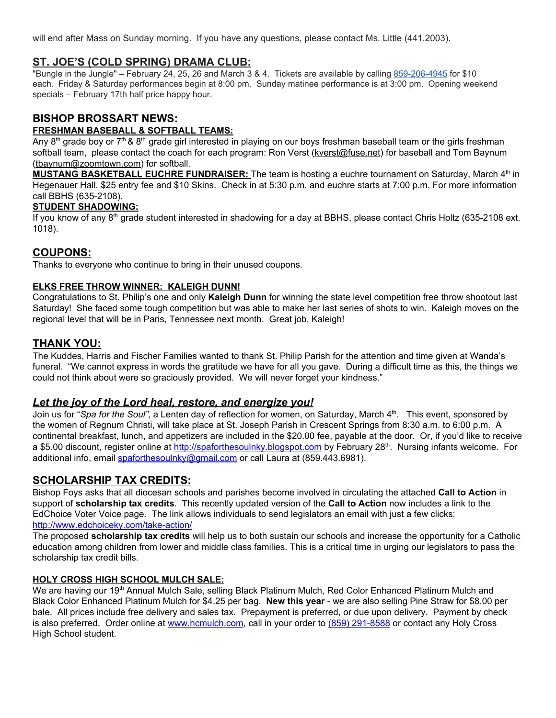will end after Mass on Sunday morning. If you have any questions, please contact Ms. Little (441.2003).

#### **ST. JOE'S (COLD SPRING) DRAMA CLUB:**

"Bungle in the Jungle" – February 24, 25, 26 and March 3 & 4. Tickets are available by calling 859-206-4945 for \$10 each. Friday & Saturday performances begin at 8:00 pm. Sunday matinee performance is at 3:00 pm. Opening weekend specials – February 17th half price happy hour.

# **BISHOP BROSSART NEWS:**

#### **FRESHMAN BASEBALL & SOFTBALL TEAMS:**

Any 8<sup>th</sup> grade boy or 7<sup>th</sup> & 8<sup>th</sup> grade girl interested in playing on our boys freshman baseball team or the girls freshman softball team, please contact the coach for each program: Ron Verst [\(kverst@fuse.net\)](mailto:kverst@fuse.net) for baseball and Tom Baynum [\(tbaynum@zoomtown.com](mailto:tbaynum@zoomtown.com)) for softball.

**MUSTANG BASKETBALL EUCHRE FUNDRAISER:** The team is hosting a euchre tournament on Saturday, March 4 th in Hegenauer Hall. \$25 entry fee and \$10 Skins. Check in at 5:30 p.m. and euchre starts at 7:00 p.m. For more information call BBHS (635-2108).

#### **STUDENT SHADOWING:**

If you know of any 8<sup>th</sup> grade student interested in shadowing for a day at BBHS, please contact Chris Holtz (635-2108 ext. 1018).

## **COUPONS:**

Thanks to everyone who continue to bring in their unused coupons.

#### **ELKS FREE THROW WINNER: KALEIGH DUNN!**

Congratulations to St. Philip's one and only **Kaleigh Dunn** for winning the state level competition free throw shootout last Saturday! She faced some tough competition but was able to make her last series of shots to win. Kaleigh moves on the regional level that will be in Paris, Tennessee next month. Great job, Kaleigh!

## **THANK YOU:**

The Kuddes, Harris and Fischer Families wanted to thank St. Philip Parish for the attention and time given at Wanda's funeral. "We cannot express in words the gratitude we have for all you gave. During a difficult time as this, the things we could not think about were so graciously provided. We will never forget your kindness."

#### *Let the joy of the Lord heal, restore, and energize you!*

Join us for "*Spa for the Soul"*, a Lenten day of reflection for women, on Saturday, March 4 th . This event, sponsored by the women of Regnum Christi, will take place at St. Joseph Parish in Crescent Springs from 8:30 a.m. to 6:00 p.m. A continental breakfast, lunch, and appetizers are included in the \$20.00 fee, payable at the door. Or, if you'd like to receive a \$5.00 discount, register online at <u>[http://spaforthesoulnky.blogspot.com](http://spaforthesoulnky.blogspot.com/)</u> by February 28<sup>th</sup>. Nursing infants welcome. For additional info, email [spaforthesoulnky@gmail.com](mailto:spaforthesoulnky@gmail.com) or call Laura at (859.443.6981).

## **SCHOLARSHIP TAX CREDITS:**

Bishop Foys asks that all diocesan schools and parishes become involved in circulating the attached **Call to Action** in support of **scholarship tax credits**. This recently updated version of the **Call to Action** now includes a link to the EdChoice Voter Voice page. The link allows individuals to send legislators an email with just a few clicks: <http://www.edchoiceky.com/take-action/>

The proposed **scholarship tax credits** will help us to both sustain our schools and increase the opportunity for a Catholic education among children from lower and middle class families. This is a critical time in urging our legislators to pass the scholarship tax credit bills.

#### **HOLY CROSS HIGH SCHOOL MULCH SALE:**

We are having our 19<sup>th</sup> Annual Mulch Sale, selling Black Platinum Mulch, Red Color Enhanced Platinum Mulch and Black Color Enhanced Platinum Mulch for \$4.25 per bag. **New this year** - we are also selling Pine Straw for \$8.00 per bale. All prices include free delivery and sales tax. Prepayment is preferred, or due upon delivery. Payment by check is also preferred. Order online at [www.hcmulch.com](http://www.hcmulch.com/), call in your order to (859) 291-8588 or contact any Holy Cross High School student.